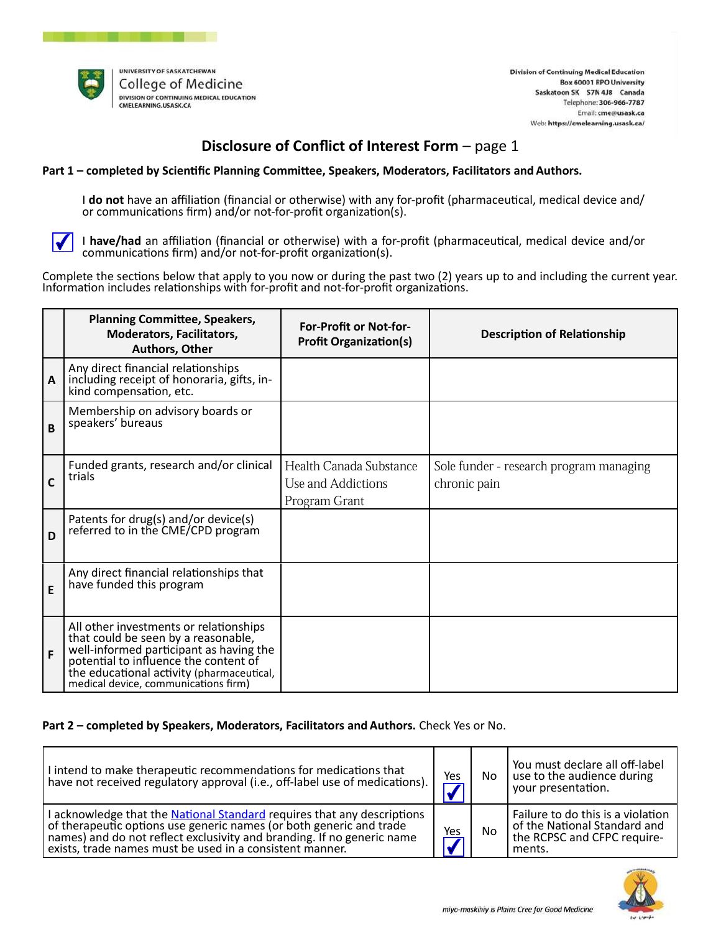

# Disclosure of Conflict of Interest Form  $-$  page 1

### Part 1 – completed by Scientific Planning Committee, Speakers, Moderators, Facilitators and Authors.

I do not have an affiliation (financial or otherwise) with any for-profit (pharmaceutical, medical device and/ or communications firm) and/or not-for-profit organization(s).



I have/had an affiliation (financial or otherwise) with a for-profit (pharmaceutical, medical device and/or communications firm) and/or not-for-profit organization(s).

Complete the sections below that apply to you now or during the past two (2) years up to and including the current year. Information includes relationships with for-profit and not-for-profit organizations.

|   | <b>Planning Committee, Speakers,</b><br><b>Moderators, Facilitators,</b><br><b>Authors, Other</b>                                                                                                                                                   | <b>For-Profit or Not-for-</b><br><b>Profit Organization(s)</b>        | <b>Description of Relationship</b>                      |
|---|-----------------------------------------------------------------------------------------------------------------------------------------------------------------------------------------------------------------------------------------------------|-----------------------------------------------------------------------|---------------------------------------------------------|
| A | Any direct financial relationships<br>including receipt of honoraria, gifts, in-<br>kind compensation, etc.                                                                                                                                         |                                                                       |                                                         |
| B | Membership on advisory boards or<br>speakers' bureaus                                                                                                                                                                                               |                                                                       |                                                         |
| C | Funded grants, research and/or clinical<br>trials                                                                                                                                                                                                   | <b>Health Canada Substance</b><br>Use and Addictions<br>Program Grant | Sole funder - research program managing<br>chronic pain |
| D | Patents for drug(s) and/or device(s)<br>referred to in the CME/CPD program                                                                                                                                                                          |                                                                       |                                                         |
| E | Any direct financial relationships that<br>have funded this program                                                                                                                                                                                 |                                                                       |                                                         |
| F | All other investments or relationships<br>that could be seen by a reasonable,<br>well-informed participant as having the<br>potential to influence the content of<br>the educational activity (pharmaceutical, medical device, communications firm) |                                                                       |                                                         |

### Part 2 – completed by Speakers, Moderators, Facilitators and Authors. Check Yes or No.

| I intend to make therapeutic recommendations for medications that<br>have not received regulatory approval (i.e., off-label use of medications).                                                                                                                                     | Yes                                   | No.       | You must declare all off-label<br>use to the audience during<br>your presentation.                         |
|--------------------------------------------------------------------------------------------------------------------------------------------------------------------------------------------------------------------------------------------------------------------------------------|---------------------------------------|-----------|------------------------------------------------------------------------------------------------------------|
| I acknowledge that the National Standard requires that any descriptions<br>of therapeutic options use generic names (or both generic and trade<br>names) and do not reflect exclusivity and branding. If no generic name<br>exists, trade names must be used in a consistent manner. | Yes<br>$\overline{\textbf{\emph{J}}}$ | <b>No</b> | Failure to do this is a violation<br>of the National Standard and<br>the RCPSC and CFPC require-<br>ments. |